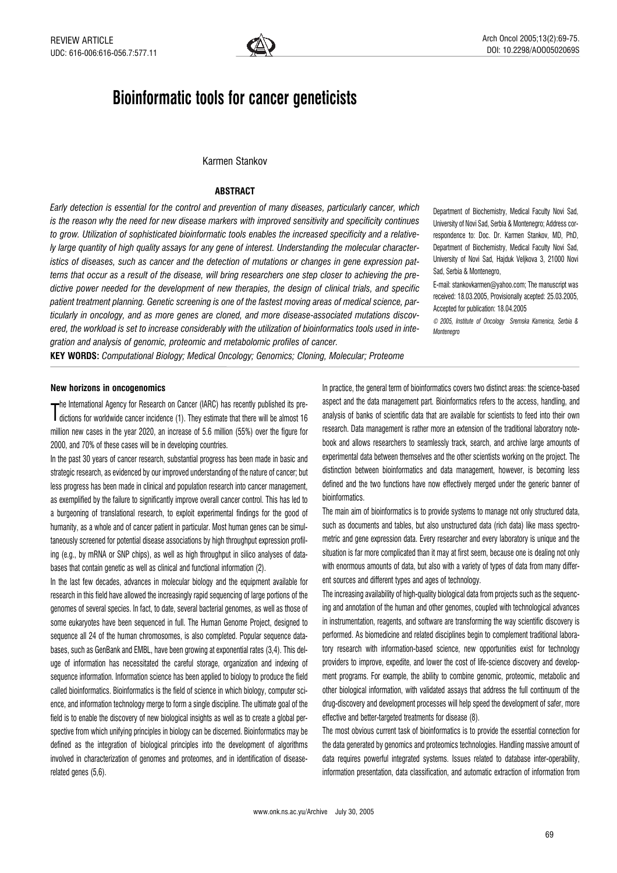

# Bioinformatic tools for cancer geneticists

# Karmen Stankov

# **ABSTRACT**

Early detection is essential for the control and prevention of many diseases, particularly cancer, which is the reason why the need for new disease markers with improved sensitivity and specificity continues to grow. Utilization of sophisticated bioinformatic tools enables the increased specificity and a relatively large quantity of high quality assays for any gene of interest. Understanding the molecular characteristics of diseases, such as cancer and the detection of mutations or changes in gene expression patterns that occur as a result of the disease, will bring researchers one step closer to achieving the predictive power needed for the development of new therapies, the design of clinical trials, and specific patient treatment planning. Genetic screening is one of the fastest moving areas of medical science, particularly in oncology, and as more genes are cloned, and more disease-associated mutations discovered, the workload is set to increase considerably with the utilization of bioinformatics tools used in integration and analysis of genomic, proteomic and metabolomic profiles of cancer.

Department of Biochemistry, Medical Faculty Novi Sad, University of Novi Sad, Serbia & Montenegro; Address correspondence to: Doc. Dr. Karmen Stankov, MD, PhD, Department of Biochemistry, Medical Faculty Novi Sad, University of Novi Sad, Hajduk Veljkova 3, 21000 Novi Sad, Serbia & Montenegro,

E-mail: stankovkarmen@yahoo.com; The manuscript was received: 18.03.2005, Provisionally acepted: 25.03.2005, Accepted for publication: 18.04.2005

© 2005, Institute of Oncology Sremska Kamenica, Serbia & **Montenegro** 

KEY WORDS: Computational Biology; Medical Oncology; Genomics; Cloning, Molecular; Proteome

# New horizons in oncogenomics

The international rights for ricection on called (1). They estimate that there will be almost 16<br>dictions for worldwide cancer incidence (1). They estimate that there will be almost 16 **--**he International Agency for Research on Cancer (IARC) has recently published its premillion new cases in the year 2020, an increase of 5.6 million (55%) over the figure for 2000, and 70% of these cases will be in developing countries.

In the past 30 years of cancer research, substantial progress has been made in basic and strategic research, as evidenced by our improved understanding of the nature of cancer; but less progress has been made in clinical and population research into cancer management, as exemplified by the failure to significantly improve overall cancer control. This has led to a burgeoning of translational research, to exploit experimental findings for the good of humanity, as a whole and of cancer patient in particular. Most human genes can be simultaneously screened for potential disease associations by high throughput expression profiling (e.g., by mRNA or SNP chips), as well as high throughput in silico analyses of databases that contain genetic as well as clinical and functional information (2).

In the last few decades, advances in molecular biology and the equipment available for research in this field have allowed the increasingly rapid sequencing of large portions of the genomes of several species. In fact, to date, several bacterial genomes, as well as those of some eukaryotes have been sequenced in full. The Human Genome Project, designed to sequence all 24 of the human chromosomes, is also completed. Popular sequence databases, such as GenBank and EMBL, have been growing at exponential rates (3,4). This deluge of information has necessitated the careful storage, organization and indexing of sequence information. Information science has been applied to biology to produce the field called bioinformatics. Bioinformatics is the field of science in which biology, computer science, and information technology merge to form a single discipline. The ultimate goal of the field is to enable the discovery of new biological insights as well as to create a global perspective from which unifying principles in biology can be discerned. Bioinformatics may be defined as the integration of biological principles into the development of algorithms involved in characterization of genomes and proteomes, and in identification of diseaserelated genes (5,6).

In practice, the general term of bioinformatics covers two distinct areas: the science-based aspect and the data management part. Bioinformatics refers to the access, handling, and analysis of banks of scientific data that are available for scientists to feed into their own research. Data management is rather more an extension of the traditional laboratory notebook and allows researchers to seamlessly track, search, and archive large amounts of experimental data between themselves and the other scientists working on the project. The distinction between bioinformatics and data management, however, is becoming less defined and the two functions have now effectively merged under the generic banner of bioinformatics.

The main aim of bioinformatics is to provide systems to manage not only structured data, such as documents and tables, but also unstructured data (rich data) like mass spectrometric and gene expression data. Every researcher and every laboratory is unique and the situation is far more complicated than it may at first seem, because one is dealing not only with enormous amounts of data, but also with a variety of types of data from many different sources and different types and ages of technology.

The increasing availability of high-quality biological data from projects such as the sequencing and annotation of the human and other genomes, coupled with technological advances in instrumentation, reagents, and software are transforming the way scientific discovery is performed. As biomedicine and related disciplines begin to complement traditional laboratory research with information-based science, new opportunities exist for technology providers to improve, expedite, and lower the cost of life-science discovery and development programs. For example, the ability to combine genomic, proteomic, metabolic and other biological information, with validated assays that address the full continuum of the drug-discovery and development processes will help speed the development of safer, more effective and better-targeted treatments for disease (8).

The most obvious current task of bioinformatics is to provide the essential connection for the data generated by genomics and proteomics technologies. Handling massive amount of data requires powerful integrated systems. Issues related to database inter-operability, information presentation, data classification, and automatic extraction of information from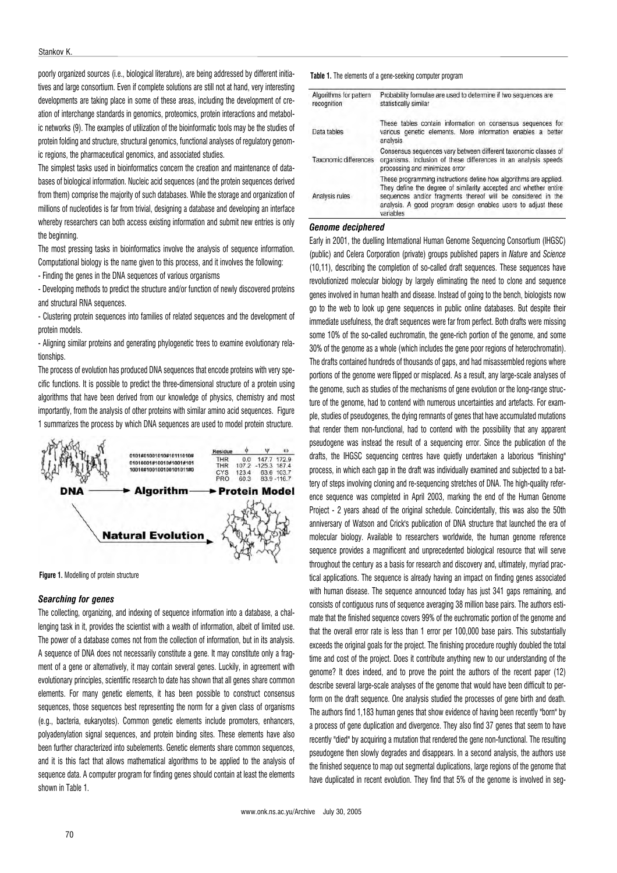poorly organized sources (i.e., biological literature), are being addressed by different initiatives and large consortium. Even if complete solutions are still not at hand, very interesting developments are taking place in some of these areas, including the development of creation of interchange standards in genomics, proteomics, protein interactions and metabolic networks (9). The examples of utilization of the bioinformatic tools may be the studies of protein folding and structure, structural genomics, functional analyses of regulatory genomic regions, the pharmaceutical genomics, and associated studies.

The simplest tasks used in bioinformatics concern the creation and maintenance of databases of biological information. Nucleic acid sequences (and the protein sequences derived from them) comprise the majority of such databases. While the storage and organization of millions of nucleotides is far from trivial, designing a database and developing an interface whereby researchers can both access existing information and submit new entries is only the beginning.

The most pressing tasks in bioinformatics involve the analysis of sequence information. Computational biology is the name given to this process, and it involves the following:

- Finding the genes in the DNA sequences of various organisms

- Developing methods to predict the structure and/or function of newly discovered proteins and structural RNA sequences.

- Clustering protein sequences into families of related sequences and the development of protein models.

- Aligning similar proteins and generating phylogenetic trees to examine evolutionary relationships.

The process of evolution has produced DNA sequences that encode proteins with very specific functions. It is possible to predict the three-dimensional structure of a protein using algorithms that have been derived from our knowledge of physics, chemistry and most importantly, from the analysis of other proteins with similar amino acid sequences. Figure 1 summarizes the process by which DNA sequences are used to model protein structure.





# Searching for genes

The collecting, organizing, and indexing of sequence information into a database, a challenging task in it, provides the scientist with a wealth of information, albeit of limited use. The power of a database comes not from the collection of information, but in its analysis. A sequence of DNA does not necessarily constitute a gene. It may constitute only a fragment of a gene or alternatively, it may contain several genes. Luckily, in agreement with evolutionary principles, scientific research to date has shown that all genes share common elements. For many genetic elements, it has been possible to construct consensus sequences, those sequences best representing the norm for a given class of organisms (e.g., bacteria, eukaryotes). Common genetic elements include promoters, enhancers, polyadenylation signal sequences, and protein binding sites. These elements have also been further characterized into subelements. Genetic elements share common sequences, and it is this fact that allows mathematical algorithms to be applied to the analysis of sequence data. A computer program for finding genes should contain at least the elements shown in Table 1.

Table 1. The elements of a gene-seeking computer program

| Algorithms for pattern<br>recognition | Probability formulae are used to determine if two sequences are<br>statistically similar                                                                                                                                                                                            |
|---------------------------------------|-------------------------------------------------------------------------------------------------------------------------------------------------------------------------------------------------------------------------------------------------------------------------------------|
| Data tables                           | These tables contain information on consensus sequences for<br>various genetic elements. More information enables a better<br>analysis                                                                                                                                              |
| Taxonomic differences                 | Consensus sequences vary between different taxonomic classes of<br>organisms. Inclusion of these differences in an analysis speeds<br>processing and minimizes error                                                                                                                |
| Analysis rules                        | These programming instructions define how algorithms are applied.<br>They define the degree of similarity accepted and whether entire<br>sequences and/or fragments thereof will be considered in the<br>analysis. A good program design enables users to adjust these<br>variables |

#### Genome deciphered

Early in 2001, the duelling International Human Genome Sequencing Consortium (IHGSC) (public) and Celera Corporation (private) groups published papers in Nature and Science (10,11), describing the completion of so-called draft sequences. These sequences have revolutionized molecular biology by largely eliminating the need to clone and sequence genes involved in human health and disease. Instead of going to the bench, biologists now go to the web to look up gene sequences in public online databases. But despite their immediate usefulness, the draft sequences were far from perfect. Both drafts were missing some 10% of the so-called euchromatin, the gene-rich portion of the genome, and some 30% of the genome as a whole (which includes the gene poor regions of heterochromatin). The drafts contained hundreds of thousands of gaps, and had misassembled regions where portions of the genome were flipped or misplaced. As a result, any large-scale analyses of the genome, such as studies of the mechanisms of gene evolution or the long-range structure of the genome, had to contend with numerous uncertainties and artefacts. For example, studies of pseudogenes, the dying remnants of genes that have accumulated mutations that render them non-functional, had to contend with the possibility that any apparent pseudogene was instead the result of a sequencing error. Since the publication of the drafts, the IHGSC sequencing centres have quietly undertaken a laborious "finishing" process, in which each gap in the draft was individually examined and subjected to a battery of steps involving cloning and re-sequencing stretches of DNA. The high-quality reference sequence was completed in April 2003, marking the end of the Human Genome Project - 2 years ahead of the original schedule. Coincidentally, this was also the 50th anniversary of Watson and Crick's publication of DNA structure that launched the era of molecular biology. Available to researchers worldwide, the human genome reference sequence provides a magnificent and unprecedented biological resource that will serve throughout the century as a basis for research and discovery and, ultimately, myriad practical applications. The sequence is already having an impact on finding genes associated with human disease. The sequence announced today has just 341 gaps remaining, and consists of contiguous runs of sequence averaging 38 million base pairs. The authors estimate that the finished sequence covers 99% of the euchromatic portion of the genome and that the overall error rate is less than 1 error per 100,000 base pairs. This substantially exceeds the original goals for the project. The finishing procedure roughly doubled the total time and cost of the project. Does it contribute anything new to our understanding of the genome? It does indeed, and to prove the point the authors of the recent paper (12) describe several large-scale analyses of the genome that would have been difficult to perform on the draft sequence. One analysis studied the processes of gene birth and death. The authors find 1,183 human genes that show evidence of having been recently "born" by a process of gene duplication and divergence. They also find 37 genes that seem to have recently "died" by acquiring a mutation that rendered the gene non-functional. The resulting pseudogene then slowly degrades and disappears. In a second analysis, the authors use the finished sequence to map out segmental duplications, large regions of the genome that have duplicated in recent evolution. They find that 5% of the genome is involved in seg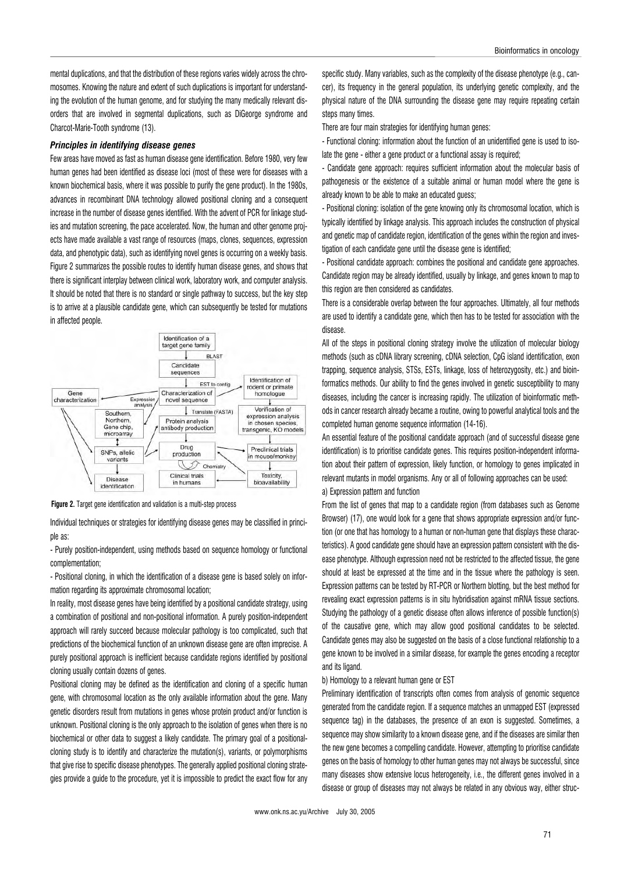mental duplications, and that the distribution of these regions varies widely across the chromosomes. Knowing the nature and extent of such duplications is important for understanding the evolution of the human genome, and for studying the many medically relevant disorders that are involved in segmental duplications, such as DiGeorge syndrome and Charcot-Marie-Tooth syndrome (13).

# Principles in identifying disease genes

Few areas have moved as fast as human disease gene identification. Before 1980, very few human genes had been identified as disease loci (most of these were for diseases with a known biochemical basis, where it was possible to purify the gene product). In the 1980s, advances in recombinant DNA technology allowed positional cloning and a consequent increase in the number of disease genes identified. With the advent of PCR for linkage studies and mutation screening, the pace accelerated. Now, the human and other genome projects have made available a vast range of resources (maps, clones, sequences, expression data, and phenotypic data), such as identifying novel genes is occurring on a weekly basis. Figure 2 summarizes the possible routes to identify human disease genes, and shows that there is significant interplay between clinical work, laboratory work, and computer analysis. It should be noted that there is no standard or single pathway to success, but the key step is to arrive at a plausible candidate gene, which can subsequently be tested for mutations in affected people.



Figure 2. Target gene identification and validation is a multi-step process

Individual techniques or strategies for identifying disease genes may be classified in principle as:

- Purely position-independent, using methods based on sequence homology or functional complementation;

- Positional cloning, in which the identification of a disease gene is based solely on information regarding its approximate chromosomal location;

In reality, most disease genes have being identified by a positional candidate strategy, using a combination of positional and non-positional information. A purely position-independent approach will rarely succeed because molecular pathology is too complicated, such that predictions of the biochemical function of an unknown disease gene are often imprecise. A purely positional approach is inefficient because candidate regions identified by positional cloning usually contain dozens of genes.

Positional cloning may be defined as the identification and cloning of a specific human gene, with chromosomal location as the only available information about the gene. Many genetic disorders result from mutations in genes whose protein product and/or function is unknown. Positional cloning is the only approach to the isolation of genes when there is no biochemical or other data to suggest a likely candidate. The primary goal of a positionalcloning study is to identify and characterize the mutation(s), variants, or polymorphisms that give rise to specific disease phenotypes. The generally applied positional cloning strategies provide a guide to the procedure, yet it is impossible to predict the exact flow for any specific study. Many variables, such as the complexity of the disease phenotype (e.g., cancer), its frequency in the general population, its underlying genetic complexity, and the physical nature of the DNA surrounding the disease gene may require repeating certain steps many times.

There are four main strategies for identifying human genes:

- Functional cloning: information about the function of an unidentified gene is used to isolate the gene - either a gene product or a functional assay is required;

- Candidate gene approach: requires sufficient information about the molecular basis of pathogenesis or the existence of a suitable animal or human model where the gene is already known to be able to make an educated guess;

- Positional cloning: isolation of the gene knowing only its chromosomal location, which is typically identified by linkage analysis. This approach includes the construction of physical and genetic map of candidate region, identification of the genes within the region and investigation of each candidate gene until the disease gene is identified:

- Positional candidate approach: combines the positional and candidate gene approaches. Candidate region may be already identified, usually by linkage, and genes known to map to this region are then considered as candidates.

There is a considerable overlap between the four approaches. Ultimately, all four methods are used to identify a candidate gene, which then has to be tested for association with the disease.

All of the steps in positional cloning strategy involve the utilization of molecular biology methods (such as cDNA library screening, cDNA selection, CpG island identification, exon trapping, sequence analysis, STSs, ESTs, linkage, loss of heterozygosity, etc.) and bioinformatics methods. Our ability to find the genes involved in genetic susceptibility to many diseases, including the cancer is increasing rapidly. The utilization of bioinformatic methods in cancer research already became a routine, owing to powerful analytical tools and the completed human genome sequence information (14-16).

An essential feature of the positional candidate approach (and of successful disease gene identification) is to prioritise candidate genes. This requires position-independent information about their pattern of expression, likely function, or homology to genes implicated in relevant mutants in model organisms. Any or all of following approaches can be used:

# a) Expression pattern and function

From the list of genes that map to a candidate region (from databases such as Genome Browser) (17), one would look for a gene that shows appropriate expression and/or function (or one that has homology to a human or non-human gene that displays these characteristics). A good candidate gene should have an expression pattern consistent with the disease phenotype. Although expression need not be restricted to the affected tissue, the gene should at least be expressed at the time and in the tissue where the pathology is seen. Expression patterns can be tested by RT-PCR or Northern blotting, but the best method for revealing exact expression patterns is in situ hybridisation against mRNA tissue sections. Studying the pathology of a genetic disease often allows inference of possible function(s) of the causative gene, which may allow good positional candidates to be selected. Candidate genes may also be suggested on the basis of a close functional relationship to a gene known to be involved in a similar disease, for example the genes encoding a receptor and its ligand.

#### b) Homology to a relevant human gene or EST

Preliminary identification of transcripts often comes from analysis of genomic sequence generated from the candidate region. If a sequence matches an unmapped EST (expressed sequence tag) in the databases, the presence of an exon is suggested. Sometimes, a sequence may show similarity to a known disease gene, and if the diseases are similar then the new gene becomes a compelling candidate. However, attempting to prioritise candidate genes on the basis of homology to other human genes may not always be successful, since many diseases show extensive locus heterogeneity, i.e., the different genes involved in a disease or group of diseases may not always be related in any obvious way, either struc-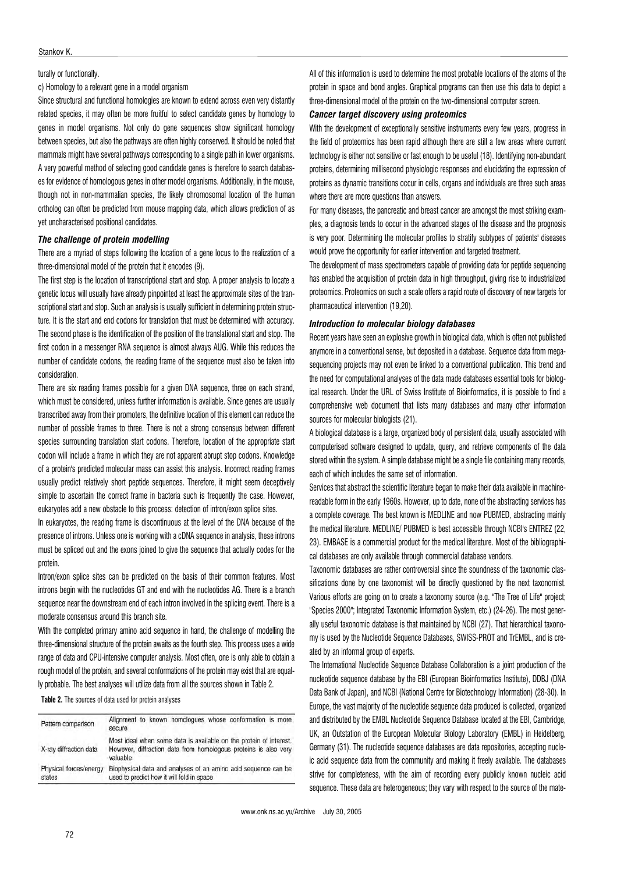# turally or functionally.

c) Homology to a relevant gene in a model organism

Since structural and functional homologies are known to extend across even very distantly related species, it may often be more fruitful to select candidate genes by homology to genes in model organisms. Not only do gene sequences show significant homology between species, but also the pathways are often highly conserved. It should be noted that mammals might have several pathways corresponding to a single path in lower organisms. A very powerful method of selecting good candidate genes is therefore to search databases for evidence of homologous genes in other model organisms. Additionally, in the mouse, though not in non-mammalian species, the likely chromosomal location of the human ortholog can often be predicted from mouse mapping data, which allows prediction of as yet uncharacterised positional candidates.

# The challenge of protein modelling

There are a myriad of steps following the location of a gene locus to the realization of a three-dimensional model of the protein that it encodes (9).

The first step is the location of transcriptional start and stop. A proper analysis to locate a genetic locus will usually have already pinpointed at least the approximate sites of the transcriptional start and stop. Such an analysis is usually sufficient in determining protein structure. It is the start and end codons for translation that must be determined with accuracy. The second phase is the identification of the position of the translational start and stop. The first codon in a messenger RNA sequence is almost always AUG. While this reduces the number of candidate codons, the reading frame of the sequence must also be taken into consideration.

There are six reading frames possible for a given DNA sequence, three on each strand, which must be considered, unless further information is available. Since genes are usually transcribed away from their promoters, the definitive location of this element can reduce the number of possible frames to three. There is not a strong consensus between different species surrounding translation start codons. Therefore, location of the appropriate start codon will include a frame in which they are not apparent abrupt stop codons. Knowledge of a protein's predicted molecular mass can assist this analysis. Incorrect reading frames usually predict relatively short peptide sequences. Therefore, it might seem deceptively simple to ascertain the correct frame in bacteria such is frequently the case. However, eukaryotes add a new obstacle to this process: detection of intron/exon splice sites.

In eukaryotes, the reading frame is discontinuous at the level of the DNA because of the presence of introns. Unless one is working with a cDNA sequence in analysis, these introns must be spliced out and the exons joined to give the sequence that actually codes for the protein.

Intron/exon splice sites can be predicted on the basis of their common features. Most introns begin with the nucleotides GT and end with the nucleotides AG. There is a branch sequence near the downstream end of each intron involved in the splicing event. There is a moderate consensus around this branch site.

With the completed primary amino acid sequence in hand, the challenge of modelling the three-dimensional structure of the protein awaits as the fourth step. This process uses a wide range of data and CPU-intensive computer analysis. Most often, one is only able to obtain a rough model of the protein, and several conformations of the protein may exist that are equally probable. The best analyses will utilize data from all the sources shown in Table 2.

Table 2. The sources of data used for protein analyses

| Pattern comparison               | Alignment to known homologues whose conformation is more<br>secure                                                                                |
|----------------------------------|---------------------------------------------------------------------------------------------------------------------------------------------------|
| X-ray diffraction data           | Most ideal when some data is available on the protein of interest.<br>However, diffraction data from homologous proteins is also very<br>valuable |
| Physical forces/energy<br>states | Biophysical data and analyses of an amino acid sequence can be<br>used to predict how it will fold in space                                       |

All of this information is used to determine the most probable locations of the atoms of the protein in space and bond angles. Graphical programs can then use this data to depict a three-dimensional model of the protein on the two-dimensional computer screen.

# Cancer target discovery using proteomics

With the development of exceptionally sensitive instruments every few years, progress in the field of proteomics has been rapid although there are still a few areas where current technology is either not sensitive or fast enough to be useful (18). Identifying non-abundant proteins, determining millisecond physiologic responses and elucidating the expression of proteins as dynamic transitions occur in cells, organs and individuals are three such areas where there are more questions than answers.

For many diseases, the pancreatic and breast cancer are amongst the most striking examples, a diagnosis tends to occur in the advanced stages of the disease and the prognosis is very poor. Determining the molecular profiles to stratify subtypes of patients' diseases would prove the opportunity for earlier intervention and targeted treatment.

The development of mass spectrometers capable of providing data for peptide sequencing has enabled the acquisition of protein data in high throughput, giving rise to industrialized proteomics. Proteomics on such a scale offers a rapid route of discovery of new targets for pharmaceutical intervention (19,20).

# Introduction to molecular biology databases

Recent years have seen an explosive growth in biological data, which is often not published anymore in a conventional sense, but deposited in a database. Sequence data from megasequencing projects may not even be linked to a conventional publication. This trend and the need for computational analyses of the data made databases essential tools for biological research. Under the URL of Swiss Institute of Bioinformatics, it is possible to find a comprehensive web document that lists many databases and many other information sources for molecular biologists (21).

A biological database is a large, organized body of persistent data, usually associated with computerised software designed to update, query, and retrieve components of the data stored within the system. A simple database might be a single file containing many records, each of which includes the same set of information.

Services that abstract the scientific literature began to make their data available in machinereadable form in the early 1960s. However, up to date, none of the abstracting services has a complete coverage. The best known is MEDLINE and now PUBMED, abstracting mainly the medical literature. MEDLINE/ PUBMED is best accessible through NCBI's ENTREZ (22, 23). EMBASE is a commercial product for the medical literature. Most of the bibliographical databases are only available through commercial database vendors.

Taxonomic databases are rather controversial since the soundness of the taxonomic classifications done by one taxonomist will be directly questioned by the next taxonomist. Various efforts are going on to create a taxonomy source (e.g. "The Tree of Life" project; "Species 2000"; Integrated Taxonomic Information System, etc.) (24-26). The most generally useful taxonomic database is that maintained by NCBI (27). That hierarchical taxonomy is used by the Nucleotide Sequence Databases, SWISS-PROT and TrEMBL, and is created by an informal group of experts.

The International Nucleotide Sequence Database Collaboration is a joint production of the nucleotide sequence database by the EBI (European Bioinformatics Institute), DDBJ (DNA Data Bank of Japan), and NCBI (National Centre for Biotechnology Information) (28-30). In Europe, the vast majority of the nucleotide sequence data produced is collected, organized and distributed by the EMBL Nucleotide Sequence Database located at the EBI, Cambridge, UK, an Outstation of the European Molecular Biology Laboratory (EMBL) in Heidelberg, Germany (31). The nucleotide sequence databases are data repositories, accepting nucleic acid sequence data from the community and making it freely available. The databases strive for completeness, with the aim of recording every publicly known nucleic acid sequence. These data are heterogeneous; they vary with respect to the source of the mate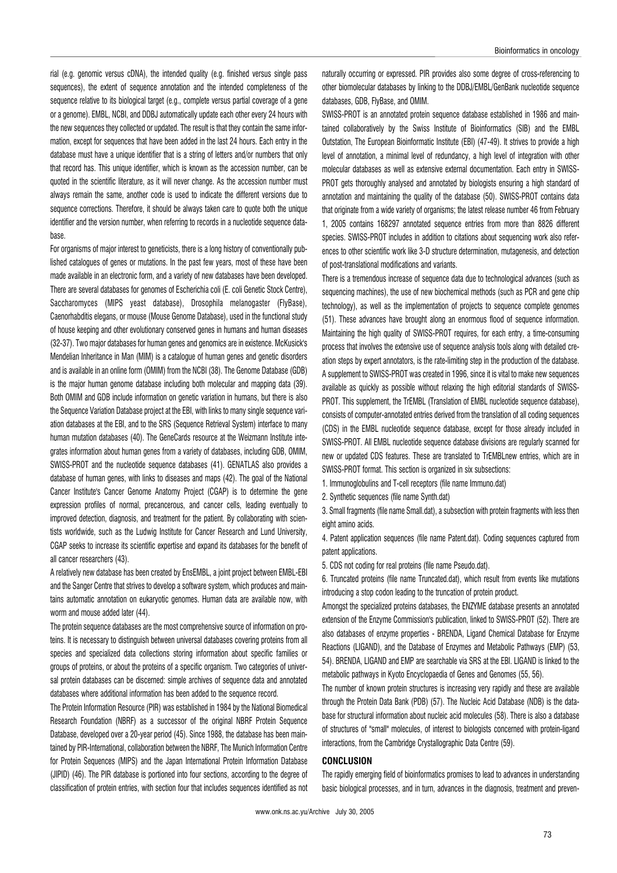rial (e.g. genomic versus cDNA), the intended quality (e.g. finished versus single pass sequences), the extent of sequence annotation and the intended completeness of the sequence relative to its biological target (e.g., complete versus partial coverage of a gene or a genome). EMBL, NCBI, and DDBJ automatically update each other every 24 hours with the new sequences they collected or updated. The result is that they contain the same information, except for sequences that have been added in the last 24 hours. Each entry in the database must have a unique identifier that is a string of letters and/or numbers that only that record has. This unique identifier, which is known as the accession number, can be quoted in the scientific literature, as it will never change. As the accession number must always remain the same, another code is used to indicate the different versions due to sequence corrections. Therefore, it should be always taken care to quote both the unique identifier and the version number, when referring to records in a nucleotide sequence database.

For organisms of major interest to geneticists, there is a long history of conventionally published catalogues of genes or mutations. In the past few years, most of these have been made available in an electronic form, and a variety of new databases have been developed. There are several databases for genomes of Escherichia coli (E. coli Genetic Stock Centre), Saccharomyces (MIPS yeast database), Drosophila melanogaster (FlyBase), Caenorhabditis elegans, or mouse (Mouse Genome Database), used in the functional study of house keeping and other evolutionary conserved genes in humans and human diseases (32-37). Two major databases for human genes and genomics are in existence. McKusick's Mendelian Inheritance in Man (MIM) is a catalogue of human genes and genetic disorders and is available in an online form (OMIM) from the NCBI (38). The Genome Database (GDB) is the major human genome database including both molecular and mapping data (39). Both OMIM and GDB include information on genetic variation in humans, but there is also the Sequence Variation Database project at the EBI, with links to many single sequence variation databases at the EBI, and to the SRS (Sequence Retrieval System) interface to many human mutation databases (40). The GeneCards resource at the Weizmann Institute integrates information about human genes from a variety of databases, including GDB, OMIM, SWISS-PROT and the nucleotide sequence databases (41). GENATLAS also provides a database of human genes, with links to diseases and maps (42). The goal of the National Cancer Institute's Cancer Genome Anatomy Project (CGAP) is to determine the gene expression profiles of normal, precancerous, and cancer cells, leading eventually to improved detection, diagnosis, and treatment for the patient. By collaborating with scientists worldwide, such as the Ludwig Institute for Cancer Research and Lund University, CGAP seeks to increase its scientific expertise and expand its databases for the benefit of all cancer researchers (43).

A relatively new database has been created by EnsEMBL, a joint project between EMBL-EBI and the Sanger Centre that strives to develop a software system, which produces and maintains automatic annotation on eukaryotic genomes. Human data are available now, with worm and mouse added later (44).

The protein sequence databases are the most comprehensive source of information on proteins. It is necessary to distinguish between universal databases covering proteins from all species and specialized data collections storing information about specific families or groups of proteins, or about the proteins of a specific organism. Two categories of universal protein databases can be discerned: simple archives of sequence data and annotated databases where additional information has been added to the sequence record.

The Protein Information Resource (PIR) was established in 1984 by the National Biomedical Research Foundation (NBRF) as a successor of the original NBRF Protein Sequence Database, developed over a 20-year period (45). Since 1988, the database has been maintained by PIR-International, collaboration between the NBRF, The Munich Information Centre for Protein Sequences (MIPS) and the Japan International Protein Information Database (JIPID) (46). The PIR database is portioned into four sections, according to the degree of classification of protein entries, with section four that includes sequences identified as not naturally occurring or expressed. PIR provides also some degree of cross-referencing to other biomolecular databases by linking to the DDBJ/EMBL/GenBank nucleotide sequence databases, GDB, FlyBase, and OMIM.

SWISS-PROT is an annotated protein sequence database established in 1986 and maintained collaboratively by the Swiss Institute of Bioinformatics (SIB) and the EMBL Outstation, The European Bioinformatic Institute (EBI) (47-49). It strives to provide a high level of annotation, a minimal level of redundancy, a high level of integration with other molecular databases as well as extensive external documentation. Each entry in SWISS-PROT gets thoroughly analysed and annotated by biologists ensuring a high standard of annotation and maintaining the quality of the database (50). SWISS-PROT contains data that originate from a wide variety of organisms; the latest release number 46 from February 1, 2005 contains 168297 annotated sequence entries from more than 8826 different species. SWISS-PROT includes in addition to citations about sequencing work also references to other scientific work like 3-D structure determination, mutagenesis, and detection of post-translational modifications and variants.

There is a tremendous increase of sequence data due to technological advances (such as sequencing machines), the use of new biochemical methods (such as PCR and gene chip technology), as well as the implementation of projects to sequence complete genomes (51). These advances have brought along an enormous flood of sequence information. Maintaining the high quality of SWISS-PROT requires, for each entry, a time-consuming process that involves the extensive use of sequence analysis tools along with detailed creation steps by expert annotators, is the rate-limiting step in the production of the database. A supplement to SWISS-PROT was created in 1996, since it is vital to make new sequences available as quickly as possible without relaxing the high editorial standards of SWISS-PROT. This supplement, the TrEMBL (Translation of EMBL nucleotide sequence database), consists of computer-annotated entries derived from the translation of all coding sequences (CDS) in the EMBL nucleotide sequence database, except for those already included in SWISS-PROT. All EMBL nucleotide sequence database divisions are regularly scanned for new or updated CDS features. These are translated to TrEMBLnew entries, which are in SWISS-PROT format. This section is organized in six subsections:

1. Immunoglobulins and T-cell receptors (file name Immuno.dat)

2. Synthetic sequences (file name Synth.dat)

3. Small fragments (file name Small.dat), a subsection with protein fragments with less then eight amino acids.

4. Patent application sequences (file name Patent.dat). Coding sequences captured from patent applications.

5. CDS not coding for real proteins (file name Pseudo.dat).

6. Truncated proteins (file name Truncated.dat), which result from events like mutations introducing a stop codon leading to the truncation of protein product.

Amongst the specialized proteins databases, the ENZYME database presents an annotated extension of the Enzyme Commission's publication, linked to SWISS-PROT (52). There are also databases of enzyme properties - BRENDA, Ligand Chemical Database for Enzyme Reactions (LIGAND), and the Database of Enzymes and Metabolic Pathways (EMP) (53, 54). BRENDA, LIGAND and EMP are searchable via SRS at the EBI. LIGAND is linked to the metabolic pathways in Kyoto Encyclopaedia of Genes and Genomes (55, 56).

The number of known protein structures is increasing very rapidly and these are available through the Protein Data Bank (PDB) (57). The Nucleic Acid Database (NDB) is the database for structural information about nucleic acid molecules (58). There is also a database of structures of "small" molecules, of interest to biologists concerned with protein-ligand interactions, from the Cambridge Crystallographic Data Centre (59).

# CONCLUSION

The rapidly emerging field of bioinformatics promises to lead to advances in understanding basic biological processes, and in turn, advances in the diagnosis, treatment and preven-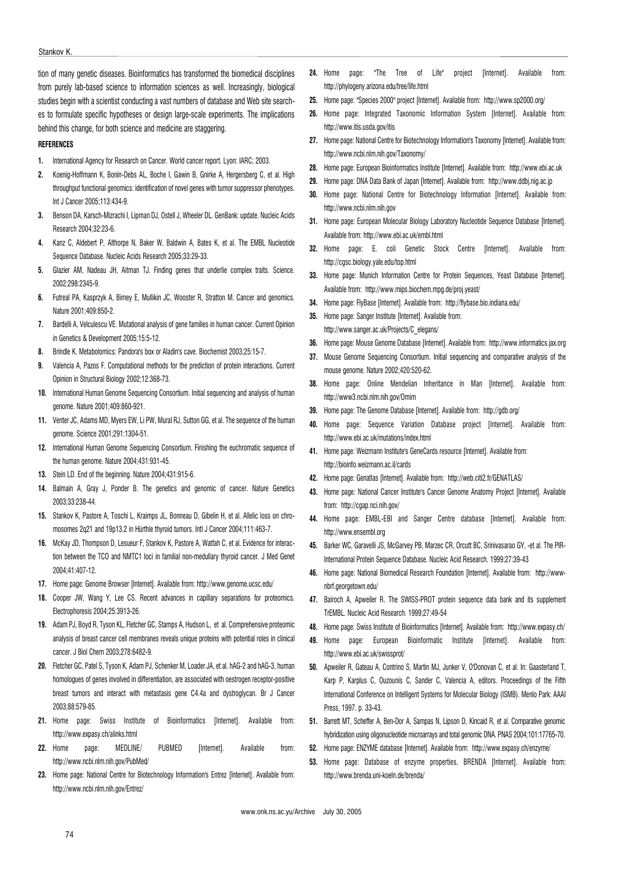#### Stankov K.

tion of many genetic diseases. Bioinformatics has transformed the biomedical disciplines from purely lab-based science to information sciences as well. Increasingly, biological studies begin with a scientist conducting a vast numbers of database and Web site searches to formulate specific hypotheses or design large-scale experiments. The implications behind this change, for both science and medicine are staggering.

# REFERENCES

- 1. International Agency for Research on Cancer. World cancer report. Lyon: IARC; 2003.
- 2. Koenig-Hoffmann K, Bonin-Debs AL, Boche I, Gawin B, Gnirke A, Hergersberg C, et al. High throughput functional genomics: identification of novel genes with tumor suppressor phenotypes. Int J Cancer 2005;113:434-9.
- 3. Benson DA, Karsch-Mizrachi I, Lipman DJ, Ostell J, Wheeler DL. GenBank: update. Nucleic Acids Research 2004;32:23-6.
- 4. Kanz C, Aldebert P, Althorpe N, Baker W, Baldwin A, Bates K, et al. The EMBL Nucleotide Sequence Database. Nucleic Acids Research 2005;33:29-33.
- 5. Glazier AM, Nadeau JH, Aitman TJ. Finding genes that underlie complex traits. Science. 2002;298:2345-9.
- 6. Futreal PA, Kasprzyk A, Birney E, Mullikin JC, Wooster R, Stratton M. Cancer and genomics. Nature 2001;409:850-2.
- 7. Bardelli A, Velculescu VE. Mutational analysis of gene families in human cancer. Current Opinion in Genetics & Development 2005;15:5-12.
- 8. Brindle K. Metabolomics: Pandora's box or Aladin's cave. Biochemist 2003;25:15-7.
- 9. Valencia A, Pazos F. Computational methods for the prediction of protein interactions. Current Opinion in Structural Biology 2002;12:368-73.
- 10. International Human Genome Sequencing Consortium. Initial sequencing and analysis of human genome. Nature 2001;409:860-921.
- 11. Venter JC, Adams MD, Myers EW, Li PW, Mural RJ, Sutton GG, et al. The sequence of the human genome. Science 2001;291:1304-51.
- 12. International Human Genome Sequencing Consortium. Finishing the euchromatic sequence of the human genome. Nature 2004;431:931-45.
- 13. Stein LD. End of the beginning. Nature 2004;431:915-6.
- 14. Balmain A, Gray J, Ponder B. The genetics and genomic of cancer. Nature Genetics 2003;33:238-44.
- 15. Stankov K, Pastore A, Toschi L, Kraimps JL, Bonneau D, Gibelin H, et al. Allelic loss on chromosomes 2q21 and 19p13.2 in Hürthle thyroid tumors. Intl J Cancer 2004;111:463-7.
- 16. McKay JD, Thompson D, Lesueur F, Stankov K, Pastore A, Watfah C, et al. Evidence for interaction between the TCO and NMTC1 loci in familial non-medullary thyroid cancer. J Med Genet 2004;41:407-12.
- 17. Home page: Genome Browser [Internet]. Available from: http://www.genome.ucsc.edu/
- 18. Cooper JW, Wang Y, Lee CS. Recent advances in capillary separations for proteomics. Electrophoresis 2004;25:3913-26.
- 19. Adam PJ, Boyd R, Tyson KL, Fletcher GC, Stamps A, Hudson L, et al. Comprehensive proteomic analysis of breast cancer cell membranes reveals unique proteins with potential roles in clinical cancer. J Biol Chem 2003;278:6482-9.
- 20. Fletcher GC, Patel S, Tyson K, Adam PJ, Schenker M, Loader JA, et al. hAG-2 and hAG-3, human homologues of genes involved in differentiation, are associated with oestrogen receptor-positive breast tumors and interact with metastasis gene C4.4a and dystroglycan. Br J Cancer 2003;88:579-85.
- 21. Home page: Swiss Institute of Bioinformatics [Internet]. Available from: http://www.expasy.ch/alinks.html
- 22. Home page: MEDLINE/ PUBMED [Internet]. Available from: http://www.ncbi.nlm.nih.gov/PubMed/
- 23. Home page: National Centre for Biotechnology Information's Entrez [Internet]. Available from: http://www.ncbi.nlm.nih.gov/Entrez/
- 24. Home page: "The Tree of Life" project [Internet]. Available from: http://phylogeny.arizona.edu/tree/life.html
- 25. Home page: "Species 2000" project [Internet]. Available from: http://www.sp2000.org/
- 26. Home page: Integrated Taxonomic Information System [Internet]. Available from: http://www.itis.usda.gov/itis
- 27. Home page: National Centre for Biotechnology Information's Taxonomy [Internet]. Available from: http://www.ncbi.nlm.nih.gov/Taxonomy/
- 28. Home page: European Bioinformatics Institute [Internet]. Available from: http://www.ebi.ac.uk
- 29. Home page: DNA Data Bank of Japan [Internet]. Available from: http://www.ddbj.nig.ac.jp
- 30. Home page: National Centre for Biotechnology Information [Internet]. Available from: http://www.ncbi.nlm.nih.gov
- 31. Home page: European Molecular Biology Laboratory Nucleotide Sequence Database [Internet]. Available from: http://www.ebi.ac.uk/embl.html
- 32. Home page: E. coli Genetic Stock Centre [Internet]. Available from: http://cgsc.biology.yale.edu/top.html
- 33. Home page: Munich Information Centre for Protein Sequences, Yeast Database [Internet]. Available from: http://www.mips.biochem.mpg.de/proj.yeast/
- 34. Home page: FlyBase [Internet]. Available from: http://flybase.bio.indiana.edu/
- 35. Home page: Sanger Institute [Internet]. Available from: http://www.sanger.ac.uk/Projects/C\_elegans/
- 36. Home page: Mouse Genome Database [Internet]. Available from: http://www.informatics.jax.org
- 37. Mouse Genome Sequencing Consortium. Initial sequencing and comparative analysis of the mouse genome. Nature 2002;420:520-62.
- 38. Home page: Online Mendelian Inheritance in Man Internet1. Available from: http://www3.ncbi.nlm.nih.gov/Omim
- 39. Home page: The Genome Database [Internet]. Available from: http://gdb.org/
- 40. Home page: Sequence Variation Database project [Internet]. Available from: http://www.ebi.ac.uk/mutations/index.html
- 41. Home page: Weizmann Institute's GeneCards resource [Internet]. Available from: http://bioinfo.weizmann.ac.il/cards
- 42. Home page: Genatlas [Internet]. Available from: http://web.citi2.fr/GENATLAS/
- 43. Home page: National Cancer Institute's Cancer Genome Anatomy Project [Internet]. Available from: http://cgap.nci.nih.gov/
- 44. Home page: EMBL-EBI and Sanger Centre database [Internet]. Available from: http://www.ensembl.org
- 45. Barker WC, Garavelli JS, McGarvey PB, Marzec CR, Orcutt BC, Srinivasarao GY, -et al. The PIR-International Protein Sequence Database. Nucleic Acid Research. 1999;27:39-43
- 46. Home page: National Biomedical Research Foundation [Internet]. Available from: http://wwwnbrf.georgetown.edu/
- 47. Bairoch A, Apweiler R. The SWISS-PROT protein sequence data bank and its supplement TrEMBL. Nucleic Acid Research. 1999;27:49-54
- 48. Home page: Swiss Institute of Bioinformatics [Internet]. Available from: http://www.expasy.ch/
- 49. Home page: European Bioinformatic Institute [Internet]. Available from: http://www.ebi.ac.uk/swissprot/
- 50. Apweiler R, Gateau A, Contrino S, Martin MJ, Junker V, O'Donovan C, et al. In: Gaasterland T, Karp P, Karplus C, Ouzounis C, Sander C, Valencia A, editors. Proceedings of the Fifth International Conference on Intelligent Systems for Molecular Biology (ISMB). Menlo Park: AAAI Press, 1997. p. 33-43.
- 51. Barrett MT, Scheffer A, Ben-Dor A, Sampas N, Lipson D, Kincaid R, et al. Comparative genomic hybridization using oligonucleotide microarrays and total genomic DNA. PNAS 2004;101:17765-70.
- 52. Home page: ENZYME database [Internet]. Available from: http://www.expasy.ch/enzyme/
- 53. Home page: Database of enzyme properties, BRENDA [Internet]. Available from: http://www.brenda.uni-koeln.de/brenda/